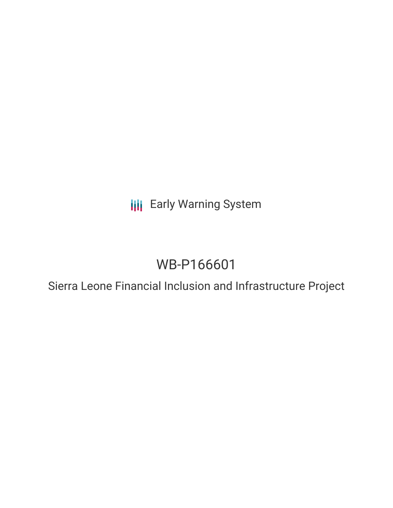**III** Early Warning System

# WB-P166601

Sierra Leone Financial Inclusion and Infrastructure Project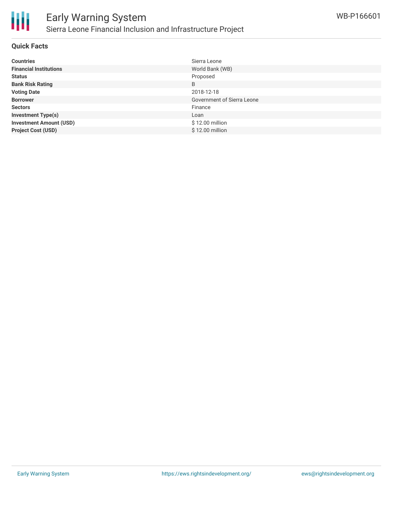

### **Quick Facts**

| <b>Countries</b>               | Sierra Leone                      |
|--------------------------------|-----------------------------------|
| <b>Financial Institutions</b>  | World Bank (WB)                   |
| <b>Status</b>                  | Proposed                          |
| <b>Bank Risk Rating</b>        | B                                 |
| <b>Voting Date</b>             | 2018-12-18                        |
| <b>Borrower</b>                | <b>Government of Sierra Leone</b> |
| <b>Sectors</b>                 | Finance                           |
| <b>Investment Type(s)</b>      | Loan                              |
| <b>Investment Amount (USD)</b> | \$12.00 million                   |
| <b>Project Cost (USD)</b>      | \$12.00 million                   |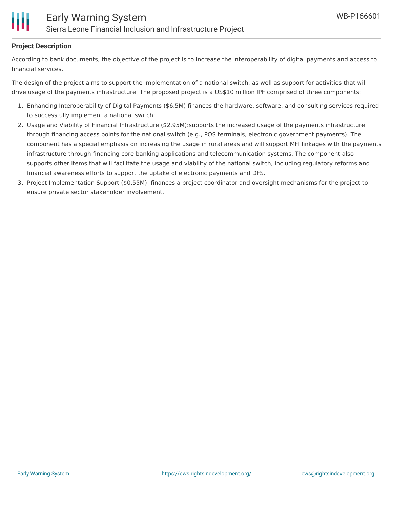

## **Project Description**

According to bank documents, the objective of the project is to increase the interoperability of digital payments and access to financial services.

The design of the project aims to support the implementation of a national switch, as well as support for activities that will drive usage of the payments infrastructure. The proposed project is a US\$10 million IPF comprised of three components:

- 1. Enhancing Interoperability of Digital Payments (\$6.5M) finances the hardware, software, and consulting services required to successfully implement a national switch:
- 2. Usage and Viability of Financial Infrastructure (\$2.95M):supports the increased usage of the payments infrastructure through financing access points for the national switch (e.g., POS terminals, electronic government payments). The component has a special emphasis on increasing the usage in rural areas and will support MFI linkages with the payments infrastructure through financing core banking applications and telecommunication systems. The component also supports other items that will facilitate the usage and viability of the national switch, including regulatory reforms and financial awareness efforts to support the uptake of electronic payments and DFS.
- 3. Project Implementation Support (\$0.55M): finances a project coordinator and oversight mechanisms for the project to ensure private sector stakeholder involvement.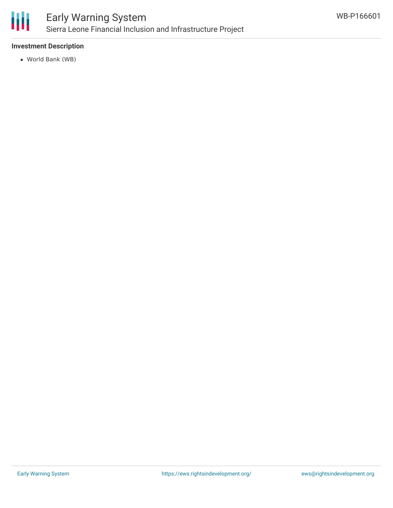

# Early Warning System Sierra Leone Financial Inclusion and Infrastructure Project

## **Investment Description**

World Bank (WB)